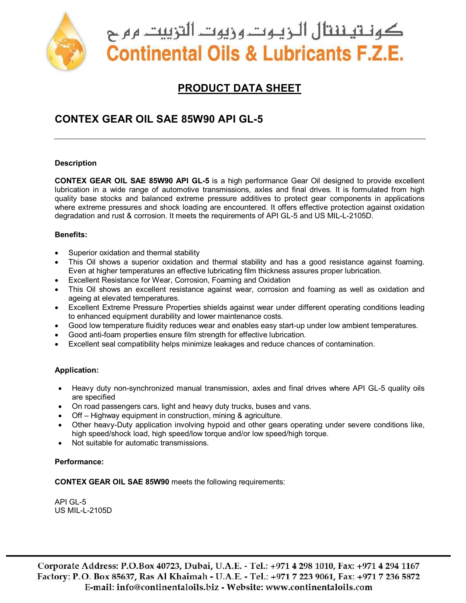

# كونــتيــنـنتال الـــزيــوتـــروزيوت التزييت ــرم ح **Continental Oils & Lubricants F.Z.E.**

## **PRODUCT DATA SHEET**

## **CONTEX GEAR OIL SAE 85W90 API GL-5**

#### **Description**

**CONTEX GEAR OIL SAE 85W90 API GL-5** is a high performance Gear Oil designed to provide excellent lubrication in a wide range of automotive transmissions, axles and final drives. It is formulated from high quality base stocks and balanced extreme pressure additives to protect gear components in applications where extreme pressures and shock loading are encountered. It offers effective protection against oxidation degradation and rust & corrosion. It meets the requirements of API GL-5 and US MIL-L-2105D.

#### **Benefits:**

- Superior oxidation and thermal stability
- This Oil shows a superior oxidation and thermal stability and has a good resistance against foaming. Even at higher temperatures an effective lubricating film thickness assures proper lubrication.
- Excellent Resistance for Wear, Corrosion, Foaming and Oxidation
- This Oil shows an excellent resistance against wear, corrosion and foaming as well as oxidation and ageing at elevated temperatures.
- Excellent Extreme Pressure Properties shields against wear under different operating conditions leading to enhanced equipment durability and lower maintenance costs.
- Good low temperature fluidity reduces wear and enables easy start-up under low ambient temperatures.
- Good anti-foam properties ensure film strength for effective lubrication.
- Excellent seal compatibility helps minimize leakages and reduce chances of contamination.

#### **Application:**

- Heavy duty non-synchronized manual transmission, axles and final drives where API GL-5 quality oils are specified
- On road passengers cars, light and heavy duty trucks, buses and vans.
- Off Highway equipment in construction, mining & agriculture.
- Other heavy-Duty application involving hypoid and other gears operating under severe conditions like, high speed/shock load, high speed/low torque and/or low speed/high torque.
- Not suitable for automatic transmissions.

#### **Performance:**

**CONTEX GEAR OIL SAE 85W90** meets the following requirements:

API GL-5 US MIL-L-2105D